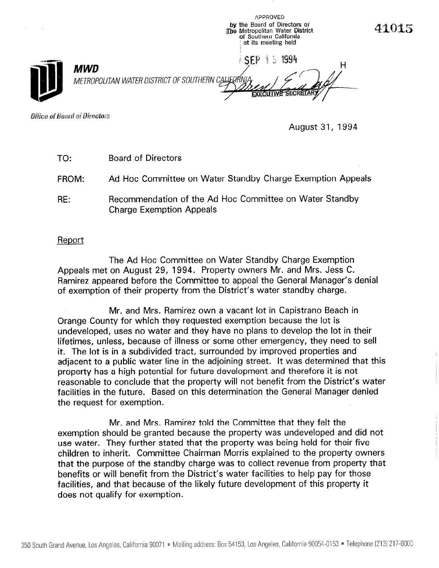**APPROVED** by the Board of Directors of The Metropolitan Water District of Southern California at its meeting held

**SFP 15 1994** 

--.

H



**MWD** METROPOLITAN WATER DISTRICT OF SOUTHERN CAL

Office of Board of Directors

August 31, 1994

TO: Board of Directors

FROM: Ad Hoc Committee on Water Standby Charge Exemption Appeals

RE: Recommendation of the Ad Hoc Committee on Water Standby Charge Exemption Appeals

Report

The Ad Hoc Committee on Water Standby Charge Exemption Appeals met on August 29, 1994. Property owners Mr. and Mrs. Jess C. Ramirez appeared before the Committee to appeal the General Manager's denial of exemption of their property from the District's water standby charge.

Mr. and Mrs. Ramirez own a vacant lot in Capistrano Beach in Orange County for which they requested exemption because the lot is undeveloped, uses no water and they have no plans to develop the lot in their lifetimes, unless, because of illness or some other emergency, they need to sell it. The lot is in a subdivided tract, surrounded by improved properties and adjacent to a public water line in the adjoining street. It was determined that this property has a high potential for future development and therefore it is not reasonable to conclude that the property will not benefit from the District's water facilities in the future. Based on this determination the General Manager denied the request for exemption.

Mr. and Mrs. Ramirez told the Committee that they felt the exemption should be granted because the property was undeveloped and did not use water. They further stated that the property was being held for their five children to inherit. Committee Chairman Morris explained to the property owners that the purpose of the standby charge was to collect revenue from property that benefits or will benefit from the District's water facilities to help pay for those facilities, and that because of the likely future development of this property it does not qualify for exemption.